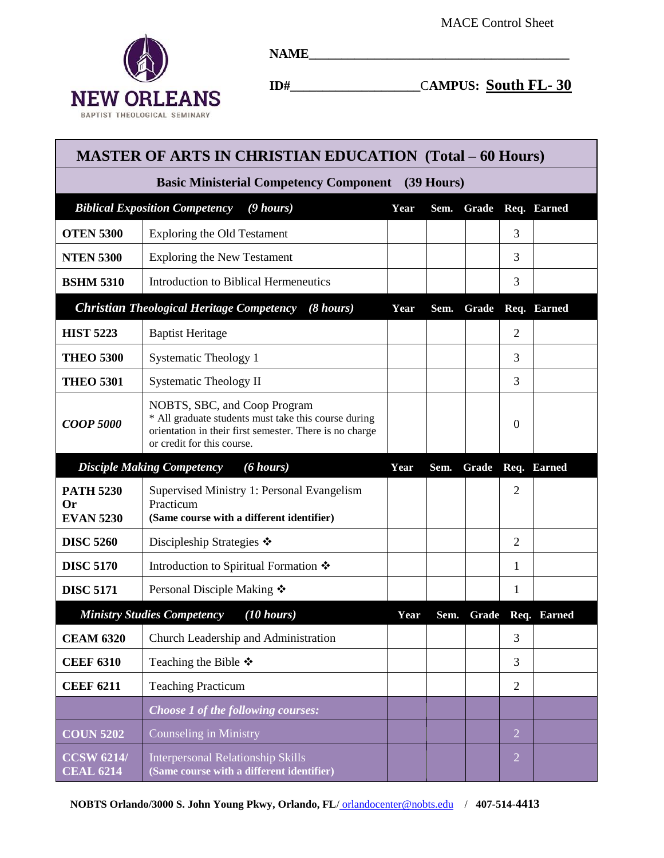

**NAME\_\_\_\_\_\_\_\_\_\_\_\_\_\_\_\_\_\_\_\_\_\_\_\_\_\_\_\_\_\_\_\_\_\_\_\_\_\_\_\_**

**ID#\_\_\_\_\_\_\_\_\_\_\_\_\_\_\_\_\_\_\_\_**C**AMPUS: South FL- 30** 

| <b>MASTER OF ARTS IN CHRISTIAN EDUCATION (Total – 60 Hours)</b>         |                                                                                                                                                                               |      |       |       |                  |                   |  |  |  |  |
|-------------------------------------------------------------------------|-------------------------------------------------------------------------------------------------------------------------------------------------------------------------------|------|-------|-------|------------------|-------------------|--|--|--|--|
| <b>Basic Ministerial Competency Component</b> (39 Hours)                |                                                                                                                                                                               |      |       |       |                  |                   |  |  |  |  |
| <b>Biblical Exposition Competency</b>                                   | Year                                                                                                                                                                          | Sem. | Grade |       | Req. Earned      |                   |  |  |  |  |
| <b>OTEN 5300</b>                                                        | <b>Exploring the Old Testament</b>                                                                                                                                            |      |       |       | 3                |                   |  |  |  |  |
| <b>NTEN 5300</b>                                                        | <b>Exploring the New Testament</b>                                                                                                                                            |      |       |       | 3                |                   |  |  |  |  |
| <b>BSHM 5310</b>                                                        | Introduction to Biblical Hermeneutics                                                                                                                                         |      |       |       | 3                |                   |  |  |  |  |
| <b>Christian Theological Heritage Competency</b><br>$(8 \text{ hours})$ |                                                                                                                                                                               |      | Sem.  | Grade |                  | Req. Earned       |  |  |  |  |
| <b>HIST 5223</b>                                                        | <b>Baptist Heritage</b>                                                                                                                                                       |      |       |       | $\overline{2}$   |                   |  |  |  |  |
| <b>THEO 5300</b>                                                        | <b>Systematic Theology 1</b>                                                                                                                                                  |      |       |       | 3                |                   |  |  |  |  |
| <b>THEO 5301</b>                                                        | <b>Systematic Theology II</b>                                                                                                                                                 |      |       |       | 3                |                   |  |  |  |  |
| <b>COOP 5000</b>                                                        | NOBTS, SBC, and Coop Program<br>* All graduate students must take this course during<br>orientation in their first semester. There is no charge<br>or credit for this course. |      |       |       | $\boldsymbol{0}$ |                   |  |  |  |  |
| $(6 \text{ hours})$<br><b>Disciple Making Competency</b>                |                                                                                                                                                                               |      | Sem.  | Grade |                  | Req. Earned       |  |  |  |  |
| <b>PATH 5230</b><br><b>Or</b><br><b>EVAN 5230</b>                       | Supervised Ministry 1: Personal Evangelism<br>Practicum<br>(Same course with a different identifier)                                                                          |      |       |       | $\overline{2}$   |                   |  |  |  |  |
| <b>DISC 5260</b>                                                        | Discipleship Strategies $\cdot$                                                                                                                                               |      |       |       | 2                |                   |  |  |  |  |
| <b>DISC 5170</b>                                                        | Introduction to Spiritual Formation ❖                                                                                                                                         |      |       |       | 1                |                   |  |  |  |  |
| <b>DISC 5171</b>                                                        | Personal Disciple Making ❖                                                                                                                                                    |      |       |       | 1                |                   |  |  |  |  |
|                                                                         | <b>Ministry Studies Competency</b><br>(10 hours)                                                                                                                              | Year | Sem.  |       |                  | Grade Req. Earned |  |  |  |  |
| <b>CEAM 6320</b>                                                        | Church Leadership and Administration                                                                                                                                          |      |       |       | 3                |                   |  |  |  |  |
| <b>CEEF 6310</b>                                                        | Teaching the Bible $\ddot{\bullet}$                                                                                                                                           |      |       |       | 3                |                   |  |  |  |  |
| <b>CEEF 6211</b>                                                        | <b>Teaching Practicum</b>                                                                                                                                                     |      |       |       | $\overline{2}$   |                   |  |  |  |  |
|                                                                         | Choose 1 of the following courses:                                                                                                                                            |      |       |       |                  |                   |  |  |  |  |
| <b>COUN 5202</b>                                                        | Counseling in Ministry                                                                                                                                                        |      |       |       | $\overline{2}$   |                   |  |  |  |  |
| <b>CCSW 6214/</b><br><b>CEAL 6214</b>                                   | <b>Interpersonal Relationship Skills</b><br>(Same course with a different identifier)                                                                                         |      |       |       | $\overline{2}$   |                   |  |  |  |  |